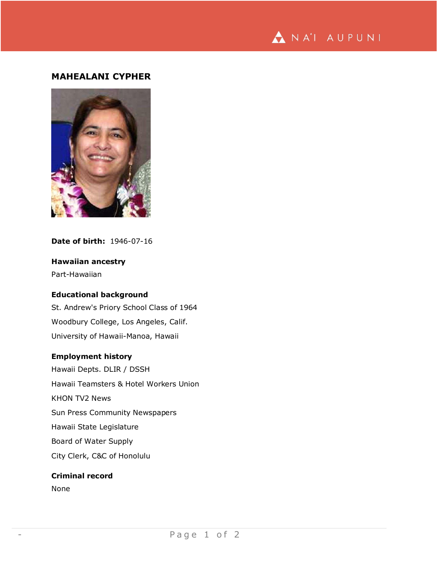

# **MAHEALANI CYPHER**



## **Date of birth:** 1946-07-16

# **Hawaiian ancestry**

Part-Hawaiian

### **Educational background**

St. Andrew's Priory School Class of 1964 Woodbury College, Los Angeles, Calif. University of Hawaii-Manoa, Hawaii

#### **Employment history**

Hawaii Depts. DLIR / DSSH Hawaii Teamsters & Hotel Workers Union KHON TV2 News Sun Press Community Newspapers Hawaii State Legislature Board of Water Supply City Clerk, C&C of Honolulu

# **Criminal record**

None